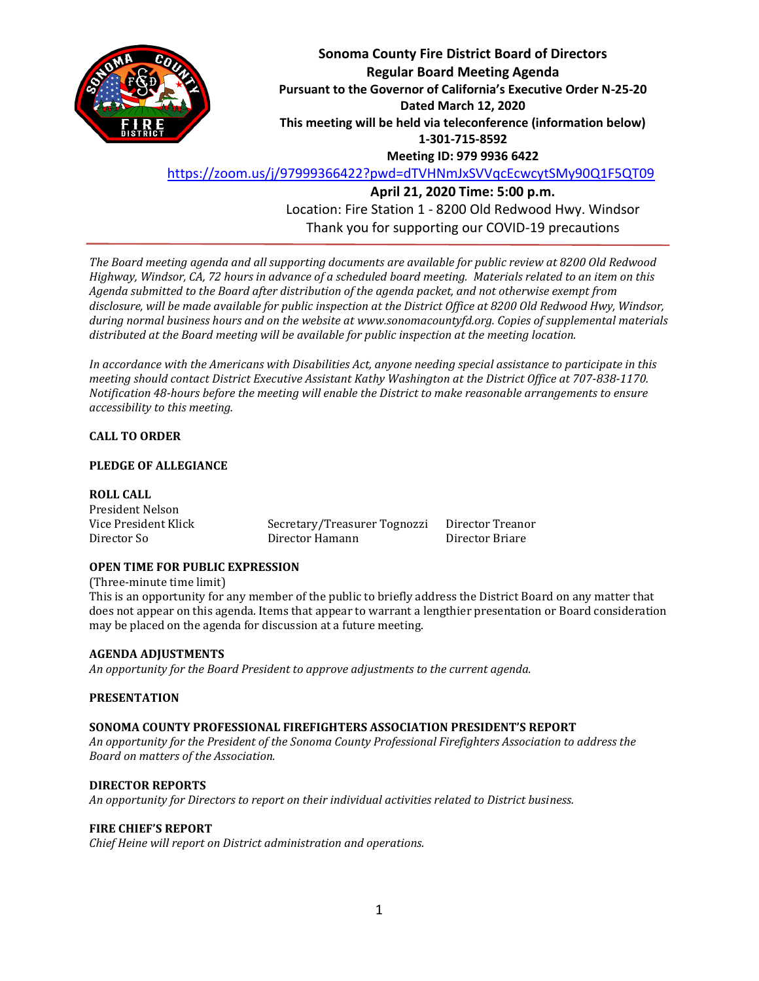

**Sonoma County Fire District Board of Directors Regular Board Meeting Agenda Pursuant to the Governor of California's Executive Order N-25-20 Dated March 12, 2020 This meeting will be held via teleconference (information below) 1-301-715-8592 Meeting ID: 979 9936 6422**

<https://zoom.us/j/97999366422?pwd=dTVHNmJxSVVqcEcwcytSMy90Q1F5QT09>

**April 21, 2020 Time: 5:00 p.m.** Location: Fire Station 1 - 8200 Old Redwood Hwy. Windsor Thank you for supporting our COVID-19 precautions

*The Board meeting agenda and all supporting documents are available for public review at 8200 Old Redwood Highway, Windsor, CA, 72 hours in advance of a scheduled board meeting. Materials related to an item on this Agenda submitted to the Board after distribution of the agenda packet, and not otherwise exempt from disclosure, will be made available for public inspection at the District Office at 8200 Old Redwood Hwy, Windsor, during normal business hours and on the website at www.sonomacountyfd.org. Copies of supplemental materials distributed at the Board meeting will be available for public inspection at the meeting location.*

*In accordance with the Americans with Disabilities Act, anyone needing special assistance to participate in this meeting should contact District Executive Assistant Kathy Washington at the District Office at 707-838-1170. Notification 48-hours before the meeting will enable the District to make reasonable arrangements to ensure accessibility to this meeting.*

# **CALL TO ORDER**

### **PLEDGE OF ALLEGIANCE**

### **ROLL CALL**

President Nelson Vice President Klick Secretary/Treasurer Tognozzi Director Treanor Director So Director Hamann Director Briare

### **OPEN TIME FOR PUBLIC EXPRESSION**

(Three-minute time limit)

This is an opportunity for any member of the public to briefly address the District Board on any matter that does not appear on this agenda. Items that appear to warrant a lengthier presentation or Board consideration may be placed on the agenda for discussion at a future meeting.

### **AGENDA ADJUSTMENTS**

*An opportunity for the Board President to approve adjustments to the current agenda.*

### **PRESENTATION**

### **SONOMA COUNTY PROFESSIONAL FIREFIGHTERS ASSOCIATION PRESIDENT'S REPORT**

*An opportunity for the President of the Sonoma County Professional Firefighters Association to address the Board on matters of the Association.*

### **DIRECTOR REPORTS**

*An opportunity for Directors to report on their individual activities related to District business.*

### **FIRE CHIEF'S REPORT**

*Chief Heine will report on District administration and operations.*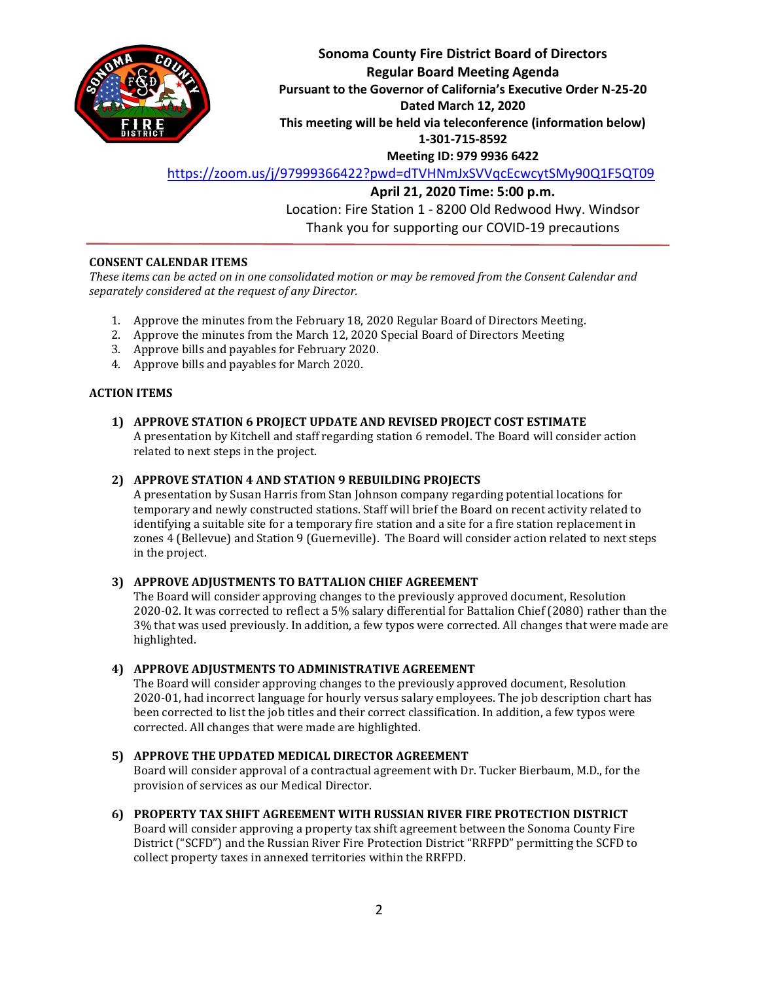

**Sonoma County Fire District Board of Directors Regular Board Meeting Agenda Pursuant to the Governor of California's Executive Order N-25-20 Dated March 12, 2020 This meeting will be held via teleconference (information below) 1-301-715-8592 Meeting ID: 979 9936 6422**

<https://zoom.us/j/97999366422?pwd=dTVHNmJxSVVqcEcwcytSMy90Q1F5QT09>

**April 21, 2020 Time: 5:00 p.m.** Location: Fire Station 1 - 8200 Old Redwood Hwy. Windsor Thank you for supporting our COVID-19 precautions

# **CONSENT CALENDAR ITEMS**

*These items can be acted on in one consolidated motion or may be removed from the Consent Calendar and separately considered at the request of any Director.*

- 1. Approve the minutes from the February 18, 2020 Regular Board of Directors Meeting.
- 2. Approve the minutes from the March 12, 2020 Special Board of Directors Meeting
- 3. Approve bills and payables for February 2020.
- 4. Approve bills and payables for March 2020.

### **ACTION ITEMS**

# **1) APPROVE STATION 6 PROJECT UPDATE AND REVISED PROJECT COST ESTIMATE**

A presentation by Kitchell and staff regarding station 6 remodel. The Board will consider action related to next steps in the project.

### **2) APPROVE STATION 4 AND STATION 9 REBUILDING PROJECTS**

A presentation by Susan Harris from Stan Johnson company regarding potential locations for temporary and newly constructed stations. Staff will brief the Board on recent activity related to identifying a suitable site for a temporary fire station and a site for a fire station replacement in zones 4 (Bellevue) and Station 9 (Guerneville). The Board will consider action related to next steps in the project.

### **3) APPROVE ADJUSTMENTS TO BATTALION CHIEF AGREEMENT**

The Board will consider approving changes to the previously approved document, Resolution 2020-02. It was corrected to reflect a 5% salary differential for Battalion Chief (2080) rather than the 3% that was used previously. In addition, a few typos were corrected. All changes that were made are highlighted.

### **4) APPROVE ADJUSTMENTS TO ADMINISTRATIVE AGREEMENT**

The Board will consider approving changes to the previously approved document, Resolution 2020-01, had incorrect language for hourly versus salary employees. The job description chart has been corrected to list the job titles and their correct classification. In addition, a few typos were corrected. All changes that were made are highlighted.

# **5) APPROVE THE UPDATED MEDICAL DIRECTOR AGREEMENT**

Board will consider approval of a contractual agreement with Dr. Tucker Bierbaum, M.D., for the provision of services as our Medical Director.

### **6) PROPERTY TAX SHIFT AGREEMENT WITH RUSSIAN RIVER FIRE PROTECTION DISTRICT**

Board will consider approving a property tax shift agreement between the Sonoma County Fire District ("SCFD") and the Russian River Fire Protection District "RRFPD" permitting the SCFD to collect property taxes in annexed territories within the RRFPD.